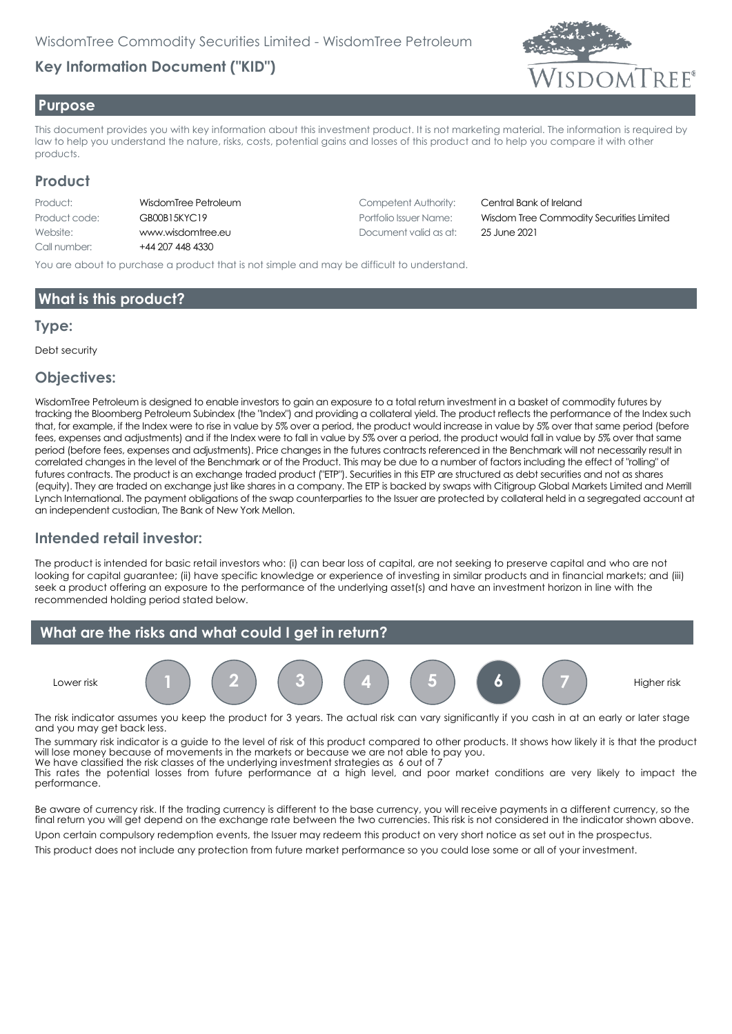# **Key Information Document ("KID")**



#### **Purpose**

This document provides you with key information about this investment product. It is not marketing material. The information is required by law to help you understand the nature, risks, costs, potential gains and losses of this product and to help you compare it with other products.

## **Product**

| Product:      | V      |
|---------------|--------|
| Product code: | C      |
| Website:      | W      |
| Call number:  | $\div$ |

44 207 448 4330

VisdomTree Petroleum and Competent Authority: Central Bank of Ireland Website: www.wisdomtree.eu Document valid as at: 25 June 2021

Product code: GB00B15KYC19 Portfolio Issuer Name: Wisdom Tree Commodity Securities Limited

You are about to purchase a product that is not simple and may be difficult to understand.

## **What is this product?**

#### **Type:**

Debt security

#### **Objectives:**

WisdomTree Petroleum is designed to enable investors to gain an exposure to a total return investment in a basket of commodity futures by tracking the Bloomberg Petroleum Subindex (the "Index") and providing a collateral yield. The product reflects the performance of the Index such that, for example, if the Index were to rise in value by 5% over a period, the product would increase in value by 5% over that same period (before fees, expenses and adjustments) and if the Index were to fall in value by 5% over a period, the product would fall in value by 5% over that same period (before fees, expenses and adjustments). Price changes in the futures contracts referenced in the Benchmark will not necessarily result in correlated changes in the level of the Benchmark or of the Product. This may be due to a number of factors including the effect of "rolling" of futures contracts. The product is an exchange traded product ("ETP"). Securities in this ETP are structured as debt securities and not as shares (equity). They are traded on exchange just like shares in a company. The ETP is backed by swaps with Citigroup Global Markets Limited and Merrill Lynch International. The payment obligations of the swap counterparties to the Issuer are protected by collateral held in a segregated account at an independent custodian, The Bank of New York Mellon.

## **Intended retail investor:**

The product is intended for basic retail investors who: (i) can bear loss of capital, are not seeking to preserve capital and who are not looking for capital guarantee; (ii) have specific knowledge or experience of investing in similar products and in financial markets; and (iii) seek a product offering an exposure to the performance of the underlying asset(s) and have an investment horizon in line with the recommended holding period stated below.



The risk indicator assumes you keep the product for 3 years. The actual risk can vary significantly if you cash in at an early or later stage and you may get back less.

The summary risk indicator is a guide to the level of risk of this product compared to other products. It shows how likely it is that the product will lose money because of movements in the markets or because we are not able to pay you. We have classified the risk classes of the underlying investment strategies as 6 out of 7

This rates the potential losses from future performance at a high level, and poor market conditions are very likely to impact the performance.

Be aware of currency risk. If the trading currency is different to the base currency, you will receive payments in a different currency, so the final return you will get depend on the exchange rate between the two currencies. This risk is not considered in the indicator shown above.

Upon certain compulsory redemption events, the Issuer may redeem this product on very short notice as set out in the prospectus. This product does not include any protection from future market performance so you could lose some or all of your investment.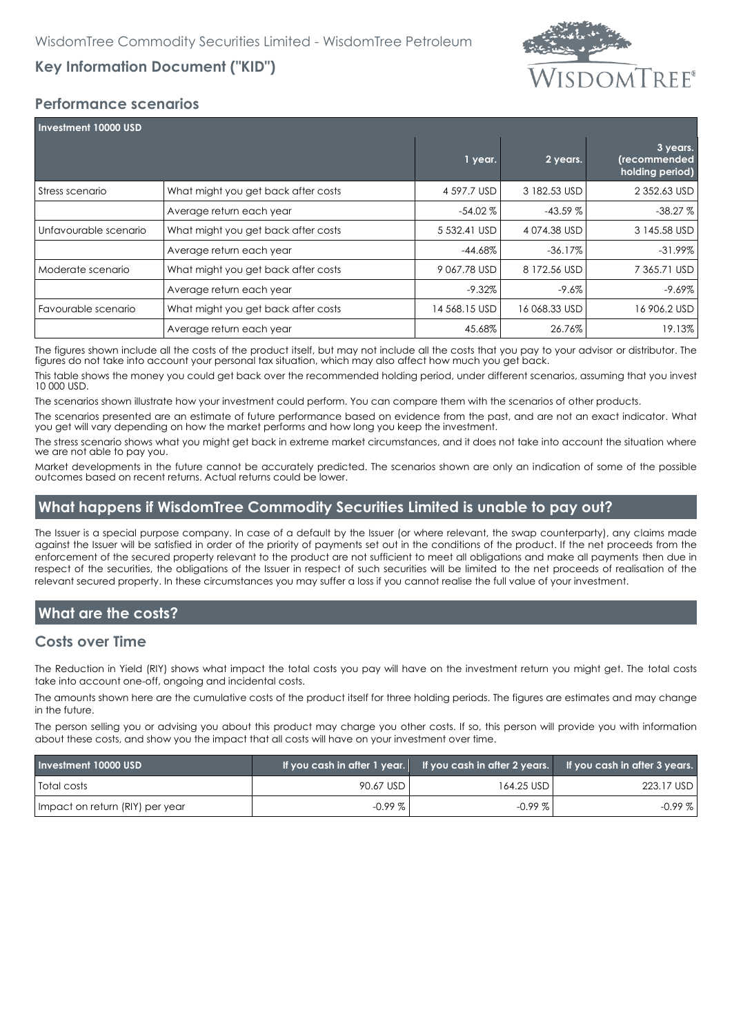# **SDOMTREF®**

# **Key Information Document ("KID")**

## **Performance scenarios**

| <b>Investment 10000 USD</b> |                                     |               |               |                                             |
|-----------------------------|-------------------------------------|---------------|---------------|---------------------------------------------|
|                             |                                     | 1 year.       | 2 years.      | 3 years.<br>(recommended<br>holding period) |
| Stress scenario             | What might you get back after costs | 4 597.7 USD   | 3 182.53 USD  | 2 352.63 USD                                |
|                             | Average return each year            | $-54.02\%$    | $-43.59%$     | $-38.27%$                                   |
| Unfavourable scenario       | What might you get back after costs | 5 532.41 USD  | 4074.38 USD   | 3 145.58 USD                                |
|                             | Average return each year            | $-44.68%$     | $-36.17%$     | $-31.99\%$                                  |
| Moderate scenario           | What might you get back after costs | 9 067.78 USD  | 8 172.56 USD  | 7 365.71 USD                                |
|                             | Average return each year            | $-9.32\%$     | $-9.6%$       | $-9.69\%$                                   |
| Favourable scenario         | What might you get back after costs | 14 568.15 USD | 16 068.33 USD | 16 906.2 USD                                |
|                             | Average return each year            | 45.68%        | 26.76%        | 19.13%                                      |

The figures shown include all the costs of the product itself, but may not include all the costs that you pay to your advisor or distributor. The figures do not take into account your personal tax situation, which may also affect how much you get back.

This table shows the money you could get back over the recommended holding period, under different scenarios, assuming that you invest 10 000 USD.

The scenarios shown illustrate how your investment could perform. You can compare them with the scenarios of other products.

The scenarios presented are an estimate of future performance based on evidence from the past, and are not an exact indicator. What you get will vary depending on how the market performs and how long you keep the investment.

The stress scenario shows what you might get back in extreme market circumstances, and it does not take into account the situation where we are not able to pay you.

Market developments in the future cannot be accurately predicted. The scenarios shown are only an indication of some of the possible outcomes based on recent returns. Actual returns could be lower.

#### **What happens if WisdomTree Commodity Securities Limited is unable to pay out?**

The Issuer is a special purpose company. In case of a default by the Issuer (or where relevant, the swap counterparty), any claims made against the Issuer will be satisfied in order of the priority of payments set out in the conditions of the product. If the net proceeds from the enforcement of the secured property relevant to the product are not sufficient to meet all obligations and make all payments then due in respect of the securities, the obligations of the Issuer in respect of such securities will be limited to the net proceeds of realisation of the relevant secured property. In these circumstances you may suffer a loss if you cannot realise the full value of your investment.

# **What are the costs?**

#### **Costs over Time**

The Reduction in Yield (RIY) shows what impact the total costs you pay will have on the investment return you might get. The total costs take into account one-off, ongoing and incidental costs.

The amounts shown here are the cumulative costs of the product itself for three holding periods. The figures are estimates and may change in the future.

The person selling you or advising you about this product may charge you other costs. If so, this person will provide you with information about these costs, and show you the impact that all costs will have on your investment over time.

| Investment 10000 USD            |           |              | If you cash in after 1 year. If you cash in after 2 years. If you cash in after 3 years. |
|---------------------------------|-----------|--------------|------------------------------------------------------------------------------------------|
| <b>Total costs</b>              | 90.67 USD | 164.25 USD I | 223.17 USD                                                                               |
| Impact on return (RIY) per year | $-0.99\%$ | $-0.99\%$    | $-0.99\%$                                                                                |